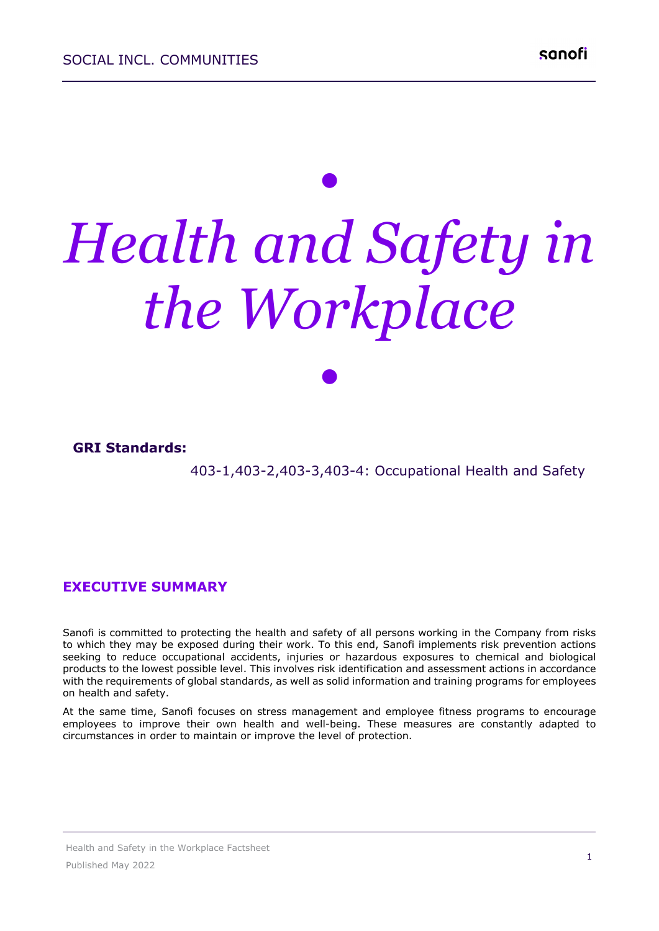# *• Health and Safety in the Workplace*

*•*

#### **GRI Standards:**

403-1,403-2,403-3,403-4: Occupational Health and Safety

## **EXECUTIVE SUMMARY**

Sanofi is committed to protecting the health and safety of all persons working in the Company from risks to which they may be exposed during their work. To this end, Sanofi implements risk prevention actions seeking to reduce occupational accidents, injuries or hazardous exposures to chemical and biological products to the lowest possible level. This involves risk identification and assessment actions in accordance with the requirements of global standards, as well as solid information and training programs for employees on health and safety.

At the same time, Sanofi focuses on stress management and employee fitness programs to encourage employees to improve their own health and well-being. These measures are constantly adapted to circumstances in order to maintain or improve the level of protection.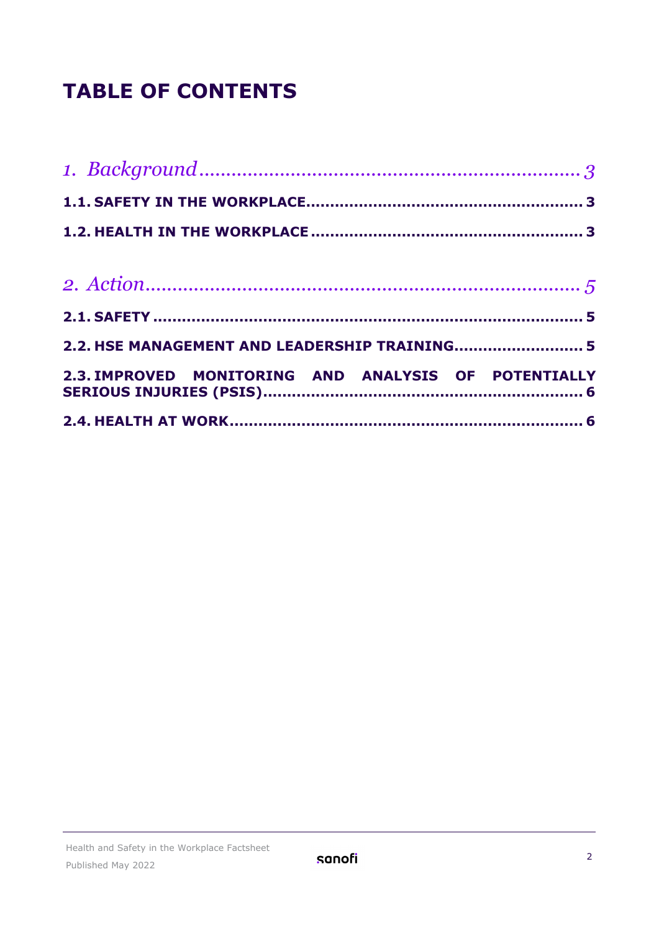# **TABLE OF CONTENTS**

| 2.2. HSE MANAGEMENT AND LEADERSHIP TRAINING 5        |
|------------------------------------------------------|
| 2.3. IMPROVED MONITORING AND ANALYSIS OF POTENTIALLY |
|                                                      |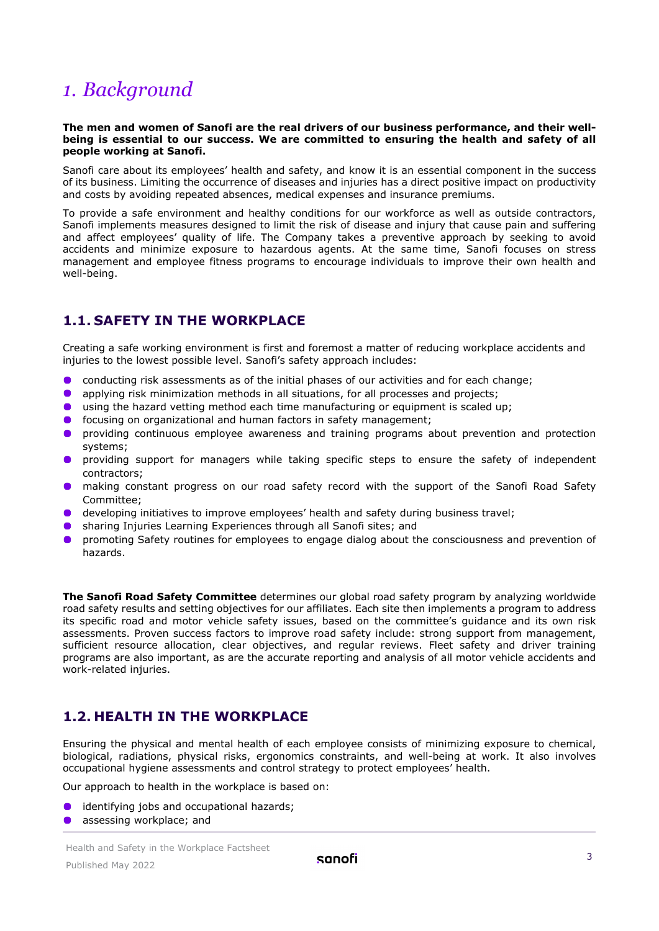# <span id="page-2-0"></span>*1. Background*

#### **The men and women of Sanofi are the real drivers of our business performance, and their wellbeing is essential to our success. We are committed to ensuring the health and safety of all people working at Sanofi.**

Sanofi care about its employees' health and safety, and know it is an essential component in the success of its business. Limiting the occurrence of diseases and injuries has a direct positive impact on productivity and costs by avoiding repeated absences, medical expenses and insurance premiums.

To provide a safe environment and healthy conditions for our workforce as well as outside contractors, Sanofi implements measures designed to limit the risk of disease and injury that cause pain and suffering and affect employees' quality of life. The Company takes a preventive approach by seeking to avoid accidents and minimize exposure to hazardous agents. At the same time, Sanofi focuses on stress management and employee fitness programs to encourage individuals to improve their own health and well-being.

# <span id="page-2-1"></span>**1.1. SAFETY IN THE WORKPLACE**

Creating a safe working environment is first and foremost a matter of reducing workplace accidents and injuries to the lowest possible level. Sanofi's safety approach includes:

- **O** conducting risk assessments as of the initial phases of our activities and for each change;
- applying risk minimization methods in all situations, for all processes and projects;
- using the hazard vetting method each time manufacturing or equipment is scaled up;
- **O** focusing on organizational and human factors in safety management;
- **•** providing continuous employee awareness and training programs about prevention and protection systems;
- providing support for managers while taking specific steps to ensure the safety of independent contractors;
- **O** making constant progress on our road safety record with the support of the Sanofi Road Safety Committee;
- developing initiatives to improve employees' health and safety during business travel;
- **•** sharing Injuries Learning Experiences through all Sanofi sites; and
- **O** promoting Safety routines for employees to engage dialog about the consciousness and prevention of hazards.

**The Sanofi Road Safety Committee** determines our global road safety program by analyzing worldwide road safety results and setting objectives for our affiliates. Each site then implements a program to address its specific road and motor vehicle safety issues, based on the committee's guidance and its own risk assessments. Proven success factors to improve road safety include: strong support from management, sufficient resource allocation, clear objectives, and regular reviews. Fleet safety and driver training programs are also important, as are the accurate reporting and analysis of all motor vehicle accidents and work-related injuries.

# <span id="page-2-2"></span>**1.2. HEALTH IN THE WORKPLACE**

Ensuring the physical and mental health of each employee consists of minimizing exposure to chemical, biological, radiations, physical risks, ergonomics constraints, and well-being at work. It also involves occupational hygiene assessments and control strategy to protect employees' health.

Our approach to health in the workplace is based on:

- identifying jobs and occupational hazards;
- assessing workplace; and

Health and Safety in the Workplace Factsheet Published May 2022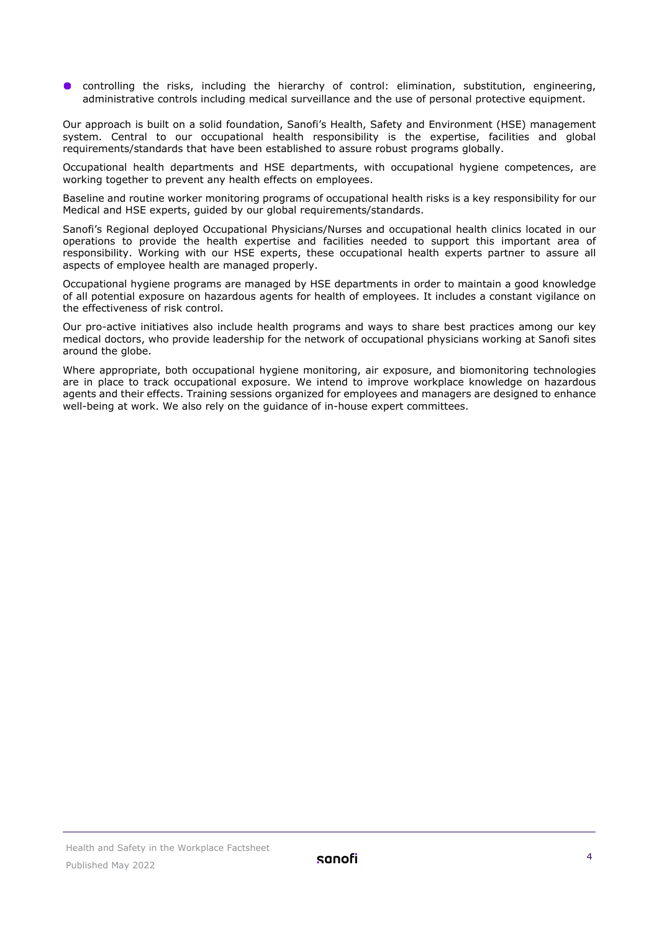controlling the risks, including the hierarchy of control: elimination, substitution, engineering, administrative controls including medical surveillance and the use of personal protective equipment.

Our approach is built on a solid foundation, Sanofi's Health, Safety and Environment (HSE) management system. Central to our occupational health responsibility is the expertise, facilities and global requirements/standards that have been established to assure robust programs globally.

Occupational health departments and HSE departments, with occupational hygiene competences, are working together to prevent any health effects on employees.

Baseline and routine worker monitoring programs of occupational health risks is a key responsibility for our Medical and HSE experts, guided by our global requirements/standards.

Sanofi's Regional deployed Occupational Physicians/Nurses and occupational health clinics located in our operations to provide the health expertise and facilities needed to support this important area of responsibility. Working with our HSE experts, these occupational health experts partner to assure all aspects of employee health are managed properly.

Occupational hygiene programs are managed by HSE departments in order to maintain a good knowledge of all potential exposure on hazardous agents for health of employees. It includes a constant vigilance on the effectiveness of risk control.

Our pro-active initiatives also include health programs and ways to share best practices among our key medical doctors, who provide leadership for the network of occupational physicians working at Sanofi sites around the globe.

Where appropriate, both occupational hygiene monitoring, air exposure, and biomonitoring technologies are in place to track occupational exposure. We intend to improve workplace knowledge on hazardous agents and their effects. Training sessions organized for employees and managers are designed to enhance well-being at work. We also rely on the guidance of in-house expert committees.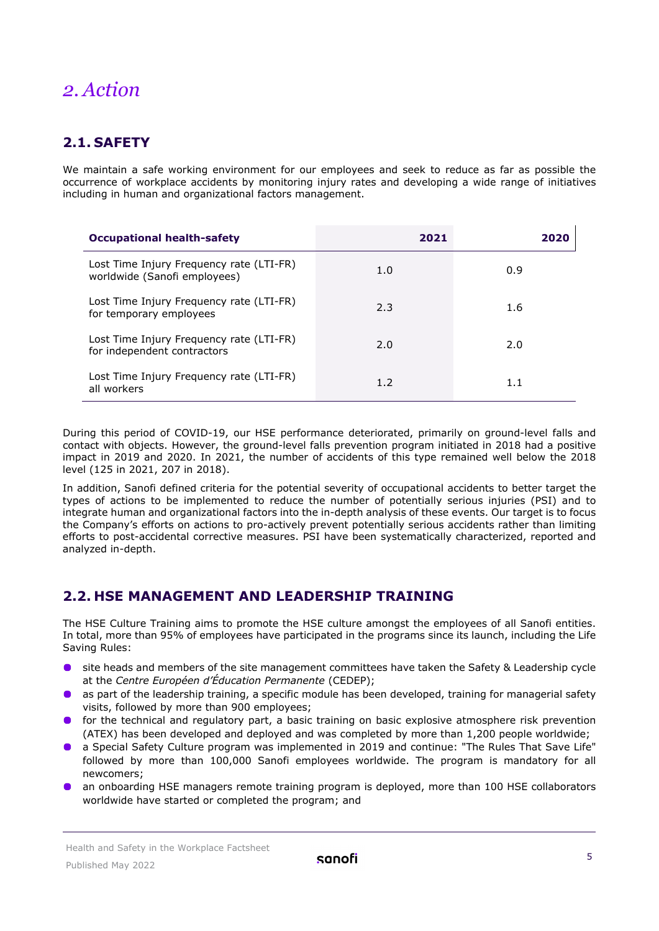# <span id="page-4-0"></span>*2. Action*

# <span id="page-4-1"></span>**2.1. SAFETY**

We maintain a safe working environment for our employees and seek to reduce as far as possible the occurrence of workplace accidents by monitoring injury rates and developing a wide range of initiatives including in human and organizational factors management.

| <b>Occupational health-safety</b>                                        | 2021 | 2020 |
|--------------------------------------------------------------------------|------|------|
| Lost Time Injury Frequency rate (LTI-FR)<br>worldwide (Sanofi employees) | 1.0  | 0.9  |
| Lost Time Injury Frequency rate (LTI-FR)<br>for temporary employees      | 2.3  | 1.6  |
| Lost Time Injury Frequency rate (LTI-FR)<br>for independent contractors  | 2.0  | 2.0  |
| Lost Time Injury Frequency rate (LTI-FR)<br>all workers                  | 1.2  | 1.1  |

During this period of COVID-19, our HSE performance deteriorated, primarily on ground-level falls and contact with objects. However, the ground-level falls prevention program initiated in 2018 had a positive impact in 2019 and 2020. In 2021, the number of accidents of this type remained well below the 2018 level (125 in 2021, 207 in 2018).

In addition, Sanofi defined criteria for the potential severity of occupational accidents to better target the types of actions to be implemented to reduce the number of potentially serious injuries (PSI) and to integrate human and organizational factors into the in-depth analysis of these events. Our target is to focus the Company's efforts on actions to pro-actively prevent potentially serious accidents rather than limiting efforts to post-accidental corrective measures. PSI have been systematically characterized, reported and analyzed in-depth.

# <span id="page-4-2"></span>**2.2. HSE MANAGEMENT AND LEADERSHIP TRAINING**

The HSE Culture Training aims to promote the HSE culture amongst the employees of all Sanofi entities. In total, more than 95% of employees have participated in the programs since its launch, including the Life Saving Rules:

- site heads and members of the site management committees have taken the Safety & Leadership cycle at the *Centre Européen d'Éducation Permanente* (CEDEP);
- as part of the leadership training, a specific module has been developed, training for managerial safety visits, followed by more than 900 employees;
- **The for the technical and regulatory part, a basic training on basic explosive atmosphere risk prevention** (ATEX) has been developed and deployed and was completed by more than 1,200 people worldwide;
- a Special Safety Culture program was implemented in 2019 and continue: "The Rules That Save Life" followed by more than 100,000 Sanofi employees worldwide. The program is mandatory for all newcomers;
- an onboarding HSE managers remote training program is deployed, more than 100 HSE collaborators worldwide have started or completed the program; and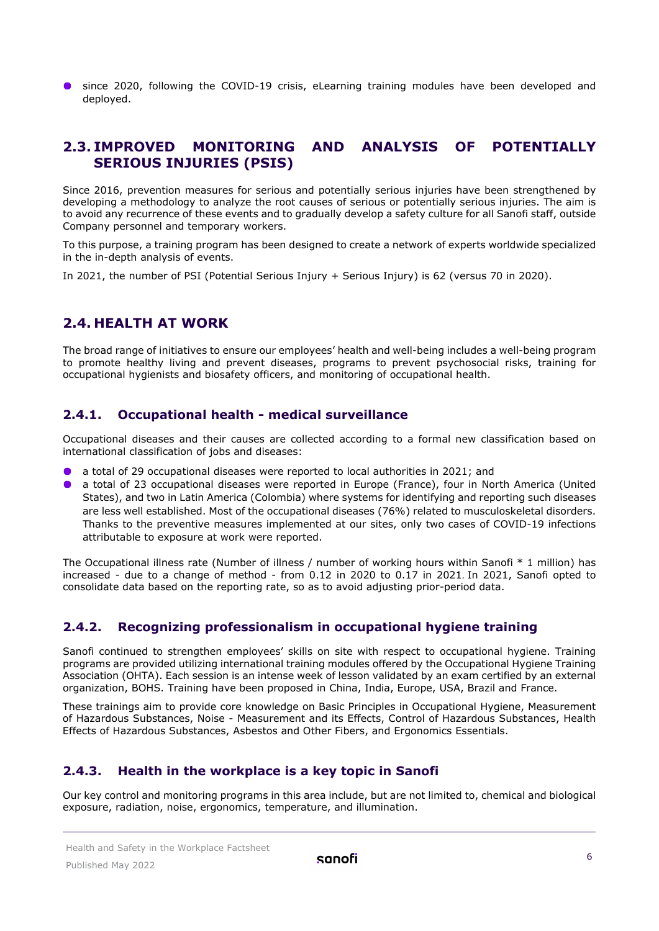since 2020, following the COVID-19 crisis, eLearning training modules have been developed and deployed.

## <span id="page-5-0"></span>**2.3. IMPROVED MONITORING AND ANALYSIS OF POTENTIALLY SERIOUS INJURIES (PSIS)**

Since 2016, prevention measures for serious and potentially serious injuries have been strengthened by developing a methodology to analyze the root causes of serious or potentially serious injuries. The aim is to avoid any recurrence of these events and to gradually develop a safety culture for all Sanofi staff, outside Company personnel and temporary workers.

To this purpose, a training program has been designed to create a network of experts worldwide specialized in the in-depth analysis of events.

<span id="page-5-1"></span>In 2021, the number of PSI (Potential Serious Injury + Serious Injury) is 62 (versus 70 in 2020).

# **2.4. HEALTH AT WORK**

The broad range of initiatives to ensure our employees' health and well-being includes a well-being program to promote healthy living and prevent diseases, programs to prevent psychosocial risks, training for occupational hygienists and biosafety officers, and monitoring of occupational health.

#### **2.4.1. Occupational health - medical surveillance**

Occupational diseases and their causes are collected according to a formal new classification based on international classification of jobs and diseases:

- a total of 29 occupational diseases were reported to local authorities in 2021; and
- a total of 23 occupational diseases were reported in Europe (France), four in North America (United States), and two in Latin America (Colombia) where systems for identifying and reporting such diseases are less well established. Most of the occupational diseases (76%) related to musculoskeletal disorders. Thanks to the preventive measures implemented at our sites, only two cases of COVID-19 infections attributable to exposure at work were reported.

The Occupational illness rate (Number of illness / number of working hours within Sanofi \* 1 million) has increased - due to a change of method - from 0.12 in 2020 to 0.17 in 2021. In 2021, Sanofi opted to consolidate data based on the reporting rate, so as to avoid adjusting prior-period data.

## **2.4.2. Recognizing professionalism in occupational hygiene training**

Sanofi continued to strengthen employees' skills on site with respect to occupational hygiene. Training programs are provided utilizing international training modules offered by the Occupational Hygiene Training Association (OHTA). Each session is an intense week of lesson validated by an exam certified by an external organization, BOHS. Training have been proposed in China, India, Europe, USA, Brazil and France.

These trainings aim to provide core knowledge on Basic Principles in Occupational Hygiene, Measurement of Hazardous Substances, Noise - Measurement and its Effects, Control of Hazardous Substances, Health Effects of Hazardous Substances, Asbestos and Other Fibers, and Ergonomics Essentials.

#### **2.4.3. Health in the workplace is a key topic in Sanofi**

Our key control and monitoring programs in this area include, but are not limited to, chemical and biological exposure, radiation, noise, ergonomics, temperature, and illumination.